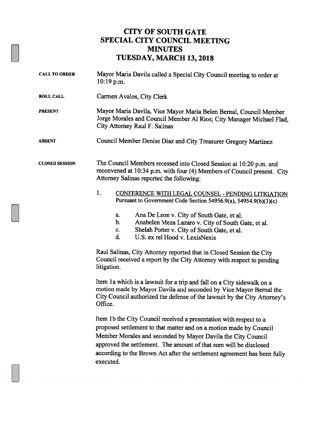## CITY OF SOUTH GATE SPECIAL CITY COUNCIL MEETING MINUTES TUESDAY, MARCH 13, 2018

| <b>CALL TO ORDER</b>  | Mayor Maria Davila called a Special City Council meeting to order at<br>$10:19$ p.m.                                                                                                                                                                                                                                                                                   |
|-----------------------|------------------------------------------------------------------------------------------------------------------------------------------------------------------------------------------------------------------------------------------------------------------------------------------------------------------------------------------------------------------------|
| <b>ROLL CALL</b>      | Carmen Avalos, City Clerk                                                                                                                                                                                                                                                                                                                                              |
| <b>PRESENT</b>        | Mayor Maria Davila, Vice Mayor Maria Belen Bernal, Council Member<br>Jorge Morales and Council Member Al Rios; City Manager Michael Flad,<br>City Attorney Raul F. Salinas                                                                                                                                                                                             |
| <b>ABSENT</b>         | Council Member Denise Diaz and City Treasurer Gregory Martinez                                                                                                                                                                                                                                                                                                         |
| <b>CLOSED SESSION</b> | The Council Members recessed into Closed Session at 10:20 p.m. and<br>reconvened at 10:34 p.m. with four (4) Members of Council present. City<br>Attorney Salinas reported the following:                                                                                                                                                                              |
|                       | 1.<br>CONFERENCE WITH LEGAL COUNSEL - PENDING LITIGATION<br>Pursuant to Government Code Section 54956.9(a), 54954.9(b)(3)(c)                                                                                                                                                                                                                                           |
|                       | Ana De Leon v. City of South Gate, et al.<br>a.<br>b.<br>Anabelen Meza Lazaro v. City of South Gate, et al.<br>Shelah Potter v. City of South Gate, et al.<br>c.<br>U.S. ex rel Hood v. LexisNexis<br>d.                                                                                                                                                               |
|                       | Raul Salinas, City Attorney reported that in Closed Session the City<br>Council received a report by the City Attorney with respect to pending<br>litigation.                                                                                                                                                                                                          |
|                       | Item 1a which is a lawsuit for a trip and fall on a City sidewalk on a<br>motion made by Mayor Davila and seconded by Vice Mayor Bernal the<br>City Council authorized the defense of the lawsuit by the City Attorney's<br>Office.                                                                                                                                    |
|                       | Item 1b the City Council received a presentation with respect to a<br>proposed settlement to that matter and on a motion made by Council<br>Member Morales and seconded by Mayor Davila the City Council<br>approved the settlement. The amount of that sum will be disclosed<br>according to the Brown Act after the settlement agreement has been fully<br>executed. |